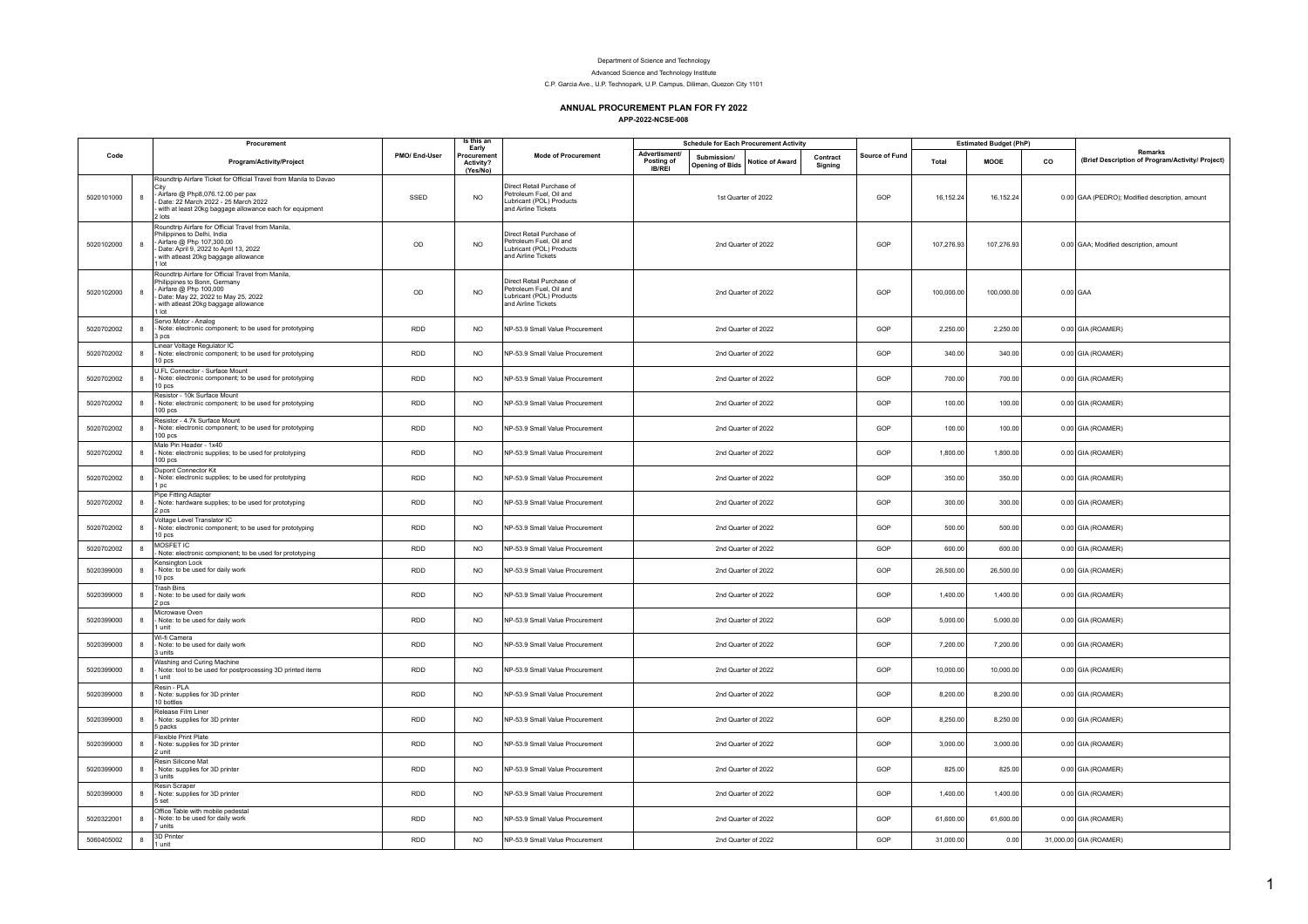## Department of Science and Technology

Advanced Science and Technology Institute

C.P. Garcia Ave., U.P. Technopark, U.P. Campus, Diliman, Quezon City 1101

## **ANNUAL PROCUREMENT PLAN FOR FY 2022**

**APP-2022-NCSE-008**

|            |              | Procurement                                                                                                                                                                                                                                                  |               | Is this an<br>Early                  |                                                                                                         | <b>Schedule for Each Procurement Activity</b>       |                                       |                     |                     |                | <b>Estimated Budget (PhP)</b> |             |    |                                                                    |
|------------|--------------|--------------------------------------------------------------------------------------------------------------------------------------------------------------------------------------------------------------------------------------------------------------|---------------|--------------------------------------|---------------------------------------------------------------------------------------------------------|-----------------------------------------------------|---------------------------------------|---------------------|---------------------|----------------|-------------------------------|-------------|----|--------------------------------------------------------------------|
| Code       |              | Program/Activity/Project                                                                                                                                                                                                                                     | PMO/ End-User | Procurement<br>Activity?<br>(Yes/No) | <b>Mode of Procurement</b>                                                                              | <b>Advertisment/</b><br>Posting of<br><b>IB/REI</b> | Submission/<br><b>Opening of Bids</b> | Notice of Award     | Contract<br>Sianina | Source of Fund | Total                         | <b>MOOE</b> | co | <b>Remarks</b><br>(Brief Description of Program/Activity/ Project) |
| 5020101000 | 8            | Roundtrip Airfare Ticket for Official Travel from Manila to Davao<br>City<br>- Airfare @ Php8,076.12.00 per pax<br>- Date: 22 March 2022 - 25 March 2022<br>- Claude Direct 2022 - 2021<br>with at least 20kg baggage allowance each for equipment<br>2 lots | SSED          | <b>NO</b>                            | Direct Retail Purchase of<br>Petroleum Fuel, Oil and<br>Lubricant (POL) Products<br>and Airline Tickets |                                                     |                                       | 1st Quarter of 2022 |                     | GOP            | 16,152.24                     | 16,152.24   |    | 0.00 GAA (PEDRO); Modified description, amount                     |
| 5020102000 | $\mathbf{a}$ | Roundtrip Airfare for Official Travel from Manila,<br>Philippines to Delhi, India<br>- Airfare @ Php 107,300.00<br>Date: April 9, 2022 to April 13, 2022<br>with atleast 20kg baggage allowance<br>I lot                                                     | OD            | <b>NO</b>                            | Direct Retail Purchase of<br>Petroleum Fuel, Oil and<br>Lubricant (POL) Products<br>and Airline Tickets |                                                     |                                       | 2nd Quarter of 2022 |                     | GOP            | 107,276.93                    | 107,276.93  |    | 0.00 GAA; Modified description, amount                             |
| 5020102000 | $\mathbf{a}$ | Roundtrip Airfare for Official Travel from Manila,<br>Philippines to Bonn, Germany<br>Airfare @ Php 100,000<br>Date: May 22, 2022 to May 25, 2022<br>with atleast 20kg baggage allowance<br>l lot                                                            | OD            | <b>NO</b>                            | Direct Retail Purchase of<br>Petroleum Fuel, Oil and<br>Lubricant (POL) Products<br>and Airline Tickets |                                                     |                                       | 2nd Quarter of 2022 |                     | GOP            | 100,000.00                    | 100,000.00  |    | $0.00$ GAA                                                         |
| 5020702002 | 8            | Servo Motor - Analog<br>Note: electronic component; to be used for prototyping<br>3 pcs                                                                                                                                                                      | <b>RDD</b>    | <b>NO</b>                            | NP-53.9 Small Value Procurement                                                                         |                                                     |                                       | 2nd Quarter of 2022 |                     | GOP            | 2,250.00                      | 2,250.00    |    | 0.00 GIA (ROAMER)                                                  |
| 5020702002 | 8            | Linear Voltage Regulator IC<br>Note: electronic component; to be used for prototyping<br>10 pcs                                                                                                                                                              | RDD           | <b>NO</b>                            | NP-53.9 Small Value Procurement                                                                         |                                                     |                                       | 2nd Quarter of 2022 |                     | GOP            | 340.00                        | 340.00      |    | 0.00 GIA (ROAMER)                                                  |
| 5020702002 | 8            | U.FL Connector - Surface Mount<br>Note: electronic component; to be used for prototyping<br>10 pcs                                                                                                                                                           | RDD           | <b>NO</b>                            | NP-53.9 Small Value Procurement                                                                         |                                                     |                                       | 2nd Quarter of 2022 |                     | GOP            | 700.00                        | 700.00      |    | 0.00 GIA (ROAMER)                                                  |
| 5020702002 | 8            | Resistor - 10k Surface Mount<br>Note: electronic component; to be used for prototyping<br>100 pcs                                                                                                                                                            | <b>RDD</b>    | <b>NO</b>                            | NP-53.9 Small Value Procurement                                                                         |                                                     |                                       | 2nd Quarter of 2022 |                     | GOP            | 100.00                        | 100.00      |    | 0.00 GIA (ROAMER)                                                  |
| 5020702002 | 8            | Resistor - 4.7k Surface Mount<br>Note: electronic component; to be used for prototyping<br>100 pcs                                                                                                                                                           | <b>RDD</b>    | <b>NO</b>                            | NP-53.9 Small Value Procurement                                                                         |                                                     |                                       | 2nd Quarter of 2022 |                     | GOP            | 100.00                        | 100.00      |    | $0.00$ GIA (ROAMER)                                                |
| 5020702002 | 8            | Male Pin Header - 1x40<br>Note: electronic supplies; to be used for prototyping<br>100 pcs                                                                                                                                                                   | <b>RDD</b>    | <b>NO</b>                            | NP-53.9 Small Value Procurement                                                                         |                                                     |                                       | 2nd Quarter of 2022 |                     | GOP            | 1,800.00                      | 1,800.00    |    | 0.00 GIA (ROAMER)                                                  |
| 5020702002 | $\mathbf{a}$ | Dupont Connector Kit<br>Note: electronic supplies; to be used for prototyping<br>l pc                                                                                                                                                                        | <b>RDD</b>    | <b>NO</b>                            | NP-53.9 Small Value Procurement                                                                         |                                                     |                                       | 2nd Quarter of 2022 |                     | GOP            | 350.00                        | 350.00      |    | 0.00 GIA (ROAMER)                                                  |
| 5020702002 | 8            | Pipe Fitting Adapter<br>Note: hardware supplies; to be used for prototyping<br>2 pcs                                                                                                                                                                         | <b>RDD</b>    | <b>NO</b>                            | NP-53.9 Small Value Procurement                                                                         |                                                     |                                       | 2nd Quarter of 2022 |                     | GOP            | 300.00                        | 300.00      |    | 0.00 GIA (ROAMER)                                                  |
| 5020702002 | 8            | Voltage Level Translator IC<br>Note: electronic component; to be used for prototyping<br>10 pcs                                                                                                                                                              | <b>RDD</b>    | <b>NO</b>                            | NP-53.9 Small Value Procurement                                                                         |                                                     |                                       | 2nd Quarter of 2022 |                     | GOP            | 500.00                        | 500.00      |    | 0.00 GIA (ROAMER)                                                  |
| 5020702002 | $\mathbf{a}$ | MOSFET IC<br>Note: electronic compionent; to be used for prototyping                                                                                                                                                                                         | <b>RDD</b>    | <b>NO</b>                            | NP-53.9 Small Value Procurement                                                                         |                                                     |                                       | 2nd Quarter of 2022 |                     | GOP            | 600.00                        | 600.00      |    | 0.00 GIA (ROAMER)                                                  |
| 5020399000 | $\mathbf{R}$ | Kensington Lock<br>Note: to be used for daily work<br>10 pcs                                                                                                                                                                                                 | <b>RDD</b>    | <b>NO</b>                            | NP-53.9 Small Value Procurement                                                                         |                                                     |                                       | 2nd Quarter of 2022 |                     | GOP            | 26,500.00                     | 26,500.00   |    | 0.00 GIA (ROAMER)                                                  |
| 5020399000 | $\mathbf{a}$ | <b>Trash Bins</b><br>Note: to be used for daily work<br>2 pcs                                                                                                                                                                                                | <b>RDD</b>    | <b>NO</b>                            | NP-53.9 Small Value Procurement                                                                         |                                                     |                                       | 2nd Quarter of 2022 |                     | GOP            | 1,400.00                      | 1,400.00    |    | 0.00 GIA (ROAMER)                                                  |
| 5020399000 | 8            | Microwave Oven<br>Note: to be used for daily work<br>1 unit                                                                                                                                                                                                  | <b>RDD</b>    | <b>NO</b>                            | NP-53.9 Small Value Procurement                                                                         |                                                     |                                       | 2nd Quarter of 2022 |                     | GOP            | 5,000.00                      | 5,000.00    |    | 0.00 GIA (ROAMER)                                                  |
| 5020399000 | 8            | Wi-fi Camera<br>Note: to be used for daily work<br>3 units                                                                                                                                                                                                   | <b>RDD</b>    | <b>NO</b>                            | NP-53.9 Small Value Procurement                                                                         |                                                     |                                       | 2nd Quarter of 2022 |                     | GOP            | 7,200.00                      | 7,200.00    |    | 0.00 GIA (ROAMER)                                                  |
| 5020399000 | $\mathbf{a}$ | Washing and Curing Machine<br>Note: tool to be used for postprocessing 3D printed items<br>1 unit                                                                                                                                                            | <b>RDD</b>    | <b>NO</b>                            | NP-53.9 Small Value Procurement                                                                         |                                                     |                                       | 2nd Quarter of 2022 |                     | GOP            | 10,000.00                     | 10,000.00   |    | 0.00 GIA (ROAMER)                                                  |
| 5020399000 | 8            | Resin - PLA<br>Note: supplies for 3D printer<br>10 bottles                                                                                                                                                                                                   | <b>RDD</b>    | <b>NO</b>                            | NP-53.9 Small Value Procurement                                                                         |                                                     |                                       | 2nd Quarter of 2022 |                     | GOP            | 8,200.00                      | 8,200.00    |    | 0.00 GIA (ROAMER)                                                  |
| 5020399000 | 8            | Release Film Liner<br>Note: supplies for 3D printer<br>5 packs                                                                                                                                                                                               | <b>RDD</b>    | <b>NO</b>                            | NP-53.9 Small Value Procurement                                                                         |                                                     |                                       | 2nd Quarter of 2022 |                     | GOP            | 8,250.00                      | 8,250.00    |    | 0.00 GIA (ROAMER)                                                  |
| 5020399000 | 8            | Flexible Print Plate<br>Note: supplies for 3D printer<br>2 unit                                                                                                                                                                                              | <b>RDD</b>    | <b>NO</b>                            | NP-53.9 Small Value Procurement                                                                         |                                                     |                                       | 2nd Quarter of 2022 |                     | GOP            | 3,000.00                      | 3,000.00    |    | 0.00 GIA (ROAMER)                                                  |
| 5020399000 | 8            | Resin Silicone Mat<br>Note: supplies for 3D printer<br>3 units                                                                                                                                                                                               | <b>RDD</b>    | <b>NO</b>                            | NP-53.9 Small Value Procurement                                                                         |                                                     |                                       | 2nd Quarter of 2022 |                     | GOP            | 825.00                        | 825.00      |    | 0.00 GIA (ROAMER)                                                  |
| 5020399000 | 8            | Resin Scraper<br>Note: supplies for 3D printer<br>5 set                                                                                                                                                                                                      | <b>RDD</b>    | <b>NO</b>                            | NP-53.9 Small Value Procurement                                                                         |                                                     |                                       | 2nd Quarter of 2022 |                     | GOP            | 1,400.00                      | 1,400.00    |    | 0.00 GIA (ROAMER)                                                  |
| 5020322001 | 8            | Office Table with mobile pedestal<br>Note: to be used for daily work<br>7 units                                                                                                                                                                              | RDD           | <b>NO</b>                            | NP-53.9 Small Value Procurement                                                                         |                                                     |                                       | 2nd Quarter of 2022 |                     | GOP            | 61,600.00                     | 61,600.00   |    | 0.00 GIA (ROAMER)                                                  |
| 5060405002 | 8            | 3D Printer<br>l unit                                                                                                                                                                                                                                         | <b>RDD</b>    | <b>NO</b>                            | NP-53.9 Small Value Procurement                                                                         |                                                     |                                       | 2nd Quarter of 2022 |                     | GOP            | 31,000.00                     | 0.00        |    | 31,000.00 GIA (ROAMER)                                             |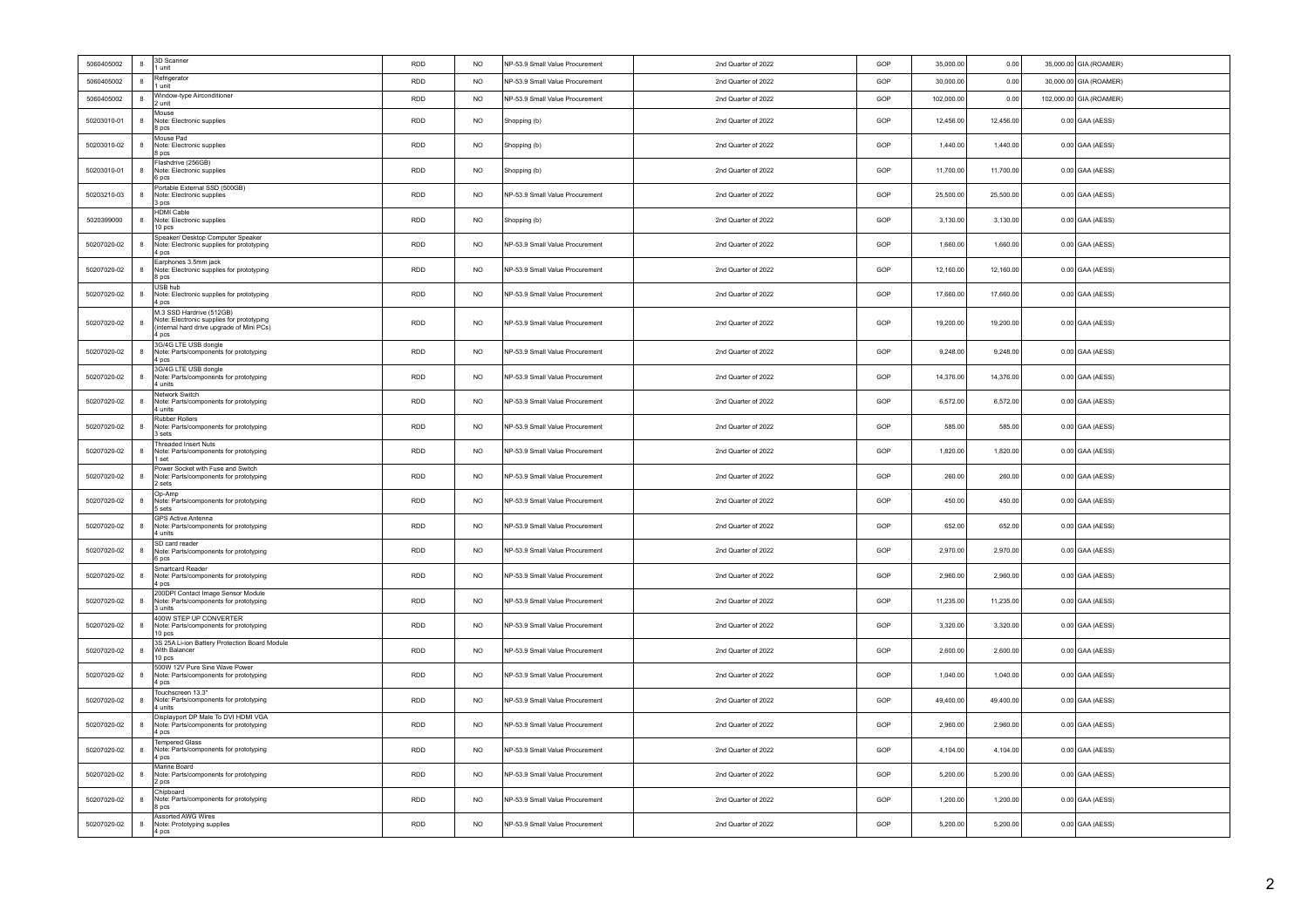| 5060405002  | 8 | 3D Scanner<br>1 unit                                                                                                        | <b>RDD</b> | <b>NO</b>      | NP-53.9 Small Value Procurement | 2nd Quarter of 2022 | GOP | 35,000.00  | 0.00      | 35,000.00 GIA (ROAMER)  |
|-------------|---|-----------------------------------------------------------------------------------------------------------------------------|------------|----------------|---------------------------------|---------------------|-----|------------|-----------|-------------------------|
| 5060405002  | 8 | Refrigerator<br>1 unit                                                                                                      | <b>RDD</b> | <b>NO</b>      | NP-53.9 Small Value Procurement | 2nd Quarter of 2022 | GOP | 30,000.00  | 0.00      | 30,000.00 GIA (ROAMER)  |
| 5060405002  | 8 | Window-type Airconditioner<br>2 unit                                                                                        | <b>RDD</b> | N <sub>O</sub> | NP-53.9 Small Value Procurement | 2nd Quarter of 2022 | GOP | 102,000.00 | 0.00      | 102,000.00 GIA (ROAMER) |
| 50203010-01 | 8 | Mouse<br>Note: Electronic supplies<br>8 pcs                                                                                 | RDD        | $NO$           | Shopping (b)                    | 2nd Quarter of 2022 | GOP | 12,456.00  | 12,456.00 | $0.00$ GAA (AESS)       |
| 50203010-02 | 8 | Mouse Pad<br>Note: Electronic supplies<br>8 pcs                                                                             | <b>RDD</b> | <b>NO</b>      | Shopping (b)                    | 2nd Quarter of 2022 | GOP | 1,440.00   | 1,440.00  | $0.00$ GAA (AESS)       |
| 50203010-01 | 8 | Flashdrive (256GB)<br>Note: Electronic supplies<br>6 pcs                                                                    | <b>RDD</b> | <b>NO</b>      | Shopping (b)                    | 2nd Quarter of 2022 | GOP | 11,700.00  | 11,700.00 | 0.00 GAA (AESS)         |
| 50203210-03 | 8 | Portable External SSD (500GB)<br>Note: Electronic supplies<br>3 <sub>pos</sub>                                              | <b>RDD</b> | <b>NO</b>      | NP-53.9 Small Value Procurement | 2nd Quarter of 2022 | GOP | 25,500.00  | 25,500.00 | $0.00$ GAA (AESS)       |
| 5020399000  | 8 | <b>HDMI Cable</b><br>Note: Electronic supplies<br>10 pcs                                                                    | <b>RDD</b> | N <sub>O</sub> | Shopping (b)                    | 2nd Quarter of 2022 | GOP | 3,130.00   | 3,130.00  | $0.00$ GAA (AESS)       |
| 50207020-02 | 8 | Speaker/ Desktop Computer Speaker<br>Note: Electronic supplies for prototyping<br>4 pcs                                     | RDD        | <b>NO</b>      | NP-53.9 Small Value Procurement | 2nd Quarter of 2022 | GOP | 1,660.00   | 1,660.00  | $0.00$ GAA (AESS)       |
| 50207020-02 | 8 | Earphones 3.5mm jack<br>Note: Electronic supplies for prototyping<br>8 pcs                                                  | <b>RDD</b> | N <sub>O</sub> | NP-53.9 Small Value Procurement | 2nd Quarter of 2022 | GOP | 12,160.00  | 12,160.00 | $0.00$ GAA (AESS)       |
| 50207020-02 | 8 | USB hub<br>Note: Electronic supplies for prototyping<br>4 pcs                                                               | RDD        | <b>NO</b>      | NP-53.9 Small Value Procurement | 2nd Quarter of 2022 | GOP | 17,660.00  | 17,660.00 | $0.00$ GAA (AESS)       |
| 50207020-02 | 8 | M.3 SSD Hardrive (512GB)<br>Note: Electronic supplies for prototyping<br>(internal hard drive upgrade of Mini PCs)<br>4 pcs | <b>RDD</b> | <b>NO</b>      | NP-53.9 Small Value Procurement | 2nd Quarter of 2022 | GOP | 19,200.00  | 19,200.00 | $0.00$ GAA (AESS)       |
| 50207020-02 | 8 | 3G/4G LTE USB dongle<br>Note: Parts/components for prototyping<br>4 pcs                                                     | <b>RDD</b> | <b>NO</b>      | NP-53.9 Small Value Procurement | 2nd Quarter of 2022 | GOP | 9,248.00   | 9,248.00  | 0.00 GAA (AESS)         |
| 50207020-02 | 8 | 3G/4G LTE USB dongle<br>Note: Parts/components for prototyping<br>4 units                                                   | <b>RDD</b> | <b>NO</b>      | NP-53.9 Small Value Procurement | 2nd Quarter of 2022 | GOP | 14,376.00  | 14,376.00 | $0.00$ GAA (AESS)       |
| 50207020-02 | 8 | Network Switch<br>Note: Parts/components for prototyping<br>4 units                                                         | RDD        | $NO$           | NP-53.9 Small Value Procurement | 2nd Quarter of 2022 | GOP | 6,572.00   | 6,572.00  | $0.00$ GAA (AESS)       |
| 50207020-02 | 8 | <b>Rubber Rollers</b><br>Note: Parts/components for prototyping<br>3 sets                                                   | <b>RDD</b> | <b>NO</b>      | NP-53.9 Small Value Procurement | 2nd Quarter of 2022 | GOP | 585.00     | 585.00    | $0.00$ GAA (AESS)       |
| 50207020-02 | 8 | Threaded Insert Nuts<br>Note: Parts/components for prototyping<br>1 set                                                     | <b>RDD</b> | N <sub>O</sub> | NP-53.9 Small Value Procurement | 2nd Quarter of 2022 | GOP | 1.820.00   | 1,820.00  | $0.00$ GAA (AESS)       |
| 50207020-02 | 8 | Power Socket with Fuse and Switch<br>Note: Parts/components for prototyping<br>2 sets                                       | <b>RDD</b> | <b>NO</b>      | NP-53.9 Small Value Procurement | 2nd Quarter of 2022 | GOP | 260.00     | 260.00    | $0.00$ GAA (AESS)       |
| 50207020-02 | 8 | Op-Amp<br>Note: Parts/components for prototyping<br>5 sets                                                                  | <b>RDD</b> | <b>NO</b>      | NP-53.9 Small Value Procurement | 2nd Quarter of 2022 | GOP | 450.00     | 450.00    | $0.00$ GAA (AESS)       |
| 50207020-02 | 8 | <b>GPS Active Antenna</b><br>Note: Parts/components for prototyping<br>4 units                                              | RDD        | <b>NO</b>      | NP-53.9 Small Value Procurement | 2nd Quarter of 2022 | GOP | 652.00     | 652.00    | $0.00$ GAA (AESS)       |
| 50207020-02 | 8 | SD card reader<br>Note: Parts/components for prototyping<br>6 pcs                                                           | <b>RDD</b> | <b>NO</b>      | NP-53.9 Small Value Procurement | 2nd Quarter of 2022 | GOP | 2,970.00   | 2,970.00  | 0.00 GAA (AESS)         |
| 50207020-02 | 8 | Smartcard Reader<br>Note: Parts/components for prototyping<br>4 pcs                                                         | <b>RDD</b> | <b>NO</b>      | NP-53.9 Small Value Procurement | 2nd Quarter of 2022 | GOP | 2,960.00   | 2,960.00  | 0.00 GAA (AESS)         |
| 50207020-02 | 8 | 200DPI Contact Image Sensor Module<br>Note: Parts/components for prototyping<br>l 3 units                                   | <b>RDD</b> | N <sub>O</sub> | NP-53.9 Small Value Procurement | 2nd Quarter of 2022 | GOP | 11.235.00  | 11,235.00 | $0.00$ GAA (AESS)       |
| 50207020-02 | 8 | 400W STEP UP CONVERTER<br>Note: Parts/components for prototyping<br>10 pcs                                                  | RDD        | <b>NO</b>      | NP-53.9 Small Value Procurement | 2nd Quarter of 2022 | GOP | 3,320.00   | 3,320.00  | $0.00$ GAA (AESS)       |
| 50207020-02 | 8 | 3S 25A Li-ion Battery Protection Board Module<br>With Balancer<br>10 pcs                                                    | RDD        | <b>NO</b>      | NP-53.9 Small Value Procurement | 2nd Quarter of 2022 | GOP | 2,600.00   | 2,600.00  | $0.00$ GAA (AESS)       |
| 50207020-02 | 8 | 500W 12V Pure Sine Wave Power<br>Note: Parts/components for prototyping<br>4 pcs                                            | RDD        | <b>NO</b>      | NP-53.9 Small Value Procurement | 2nd Quarter of 2022 | GOP | 1,040.00   | 1,040.00  | $0.00$ GAA (AESS)       |
| 50207020-02 | 8 | Touchscreen 13.3"<br>Note: Parts/components for prototyping<br>4 units                                                      | <b>RDD</b> | <b>NO</b>      | NP-53.9 Small Value Procurement | 2nd Quarter of 2022 | GOP | 49,400.00  | 49,400.00 | $0.00$ GAA (AESS)       |
| 50207020-02 | 8 | Displayport DP Male To DVI HDMI VGA<br>Note: Parts/components for prototyping<br>4 nos                                      | <b>RDD</b> | <b>NO</b>      | NP-53.9 Small Value Procurement | 2nd Quarter of 2022 | GOP | 2,960.00   | 2,960.00  | $0.00$ GAA (AESS)       |
| 50207020-02 | 8 | <b>Tempered Glass</b><br>Note: Parts/components for prototyping<br>4 pcs                                                    | RDD        | <b>NO</b>      | NP-53.9 Small Value Procurement | 2nd Quarter of 2022 | GOP | 4,104.00   | 4,104.00  | $0.00$ GAA (AESS)       |
| 50207020-02 | 8 | Marine Board<br>Note: Parts/components for prototyping<br>2 pcs                                                             | <b>RDD</b> | <b>NO</b>      | NP-53.9 Small Value Procurement | 2nd Quarter of 2022 | GOP | 5,200.00   | 5,200.00  | 0.00 GAA (AESS)         |
| 50207020-02 | 8 | Chipboard<br>Note: Parts/components for prototyping<br>8 pcs                                                                | <b>RDD</b> | <b>NO</b>      | NP-53.9 Small Value Procurement | 2nd Quarter of 2022 | GOP | 1,200.00   | 1,200.00  | 0.00 GAA (AESS)         |
| 50207020-02 | 8 | Assorted AWG Wires<br>Note: Prototyping supplies<br>4 pcs                                                                   | <b>RDD</b> | <b>NO</b>      | NP-53.9 Small Value Procurement | 2nd Quarter of 2022 | GOP | 5,200.00   | 5,200.00  | $0.00$ GAA (AESS)       |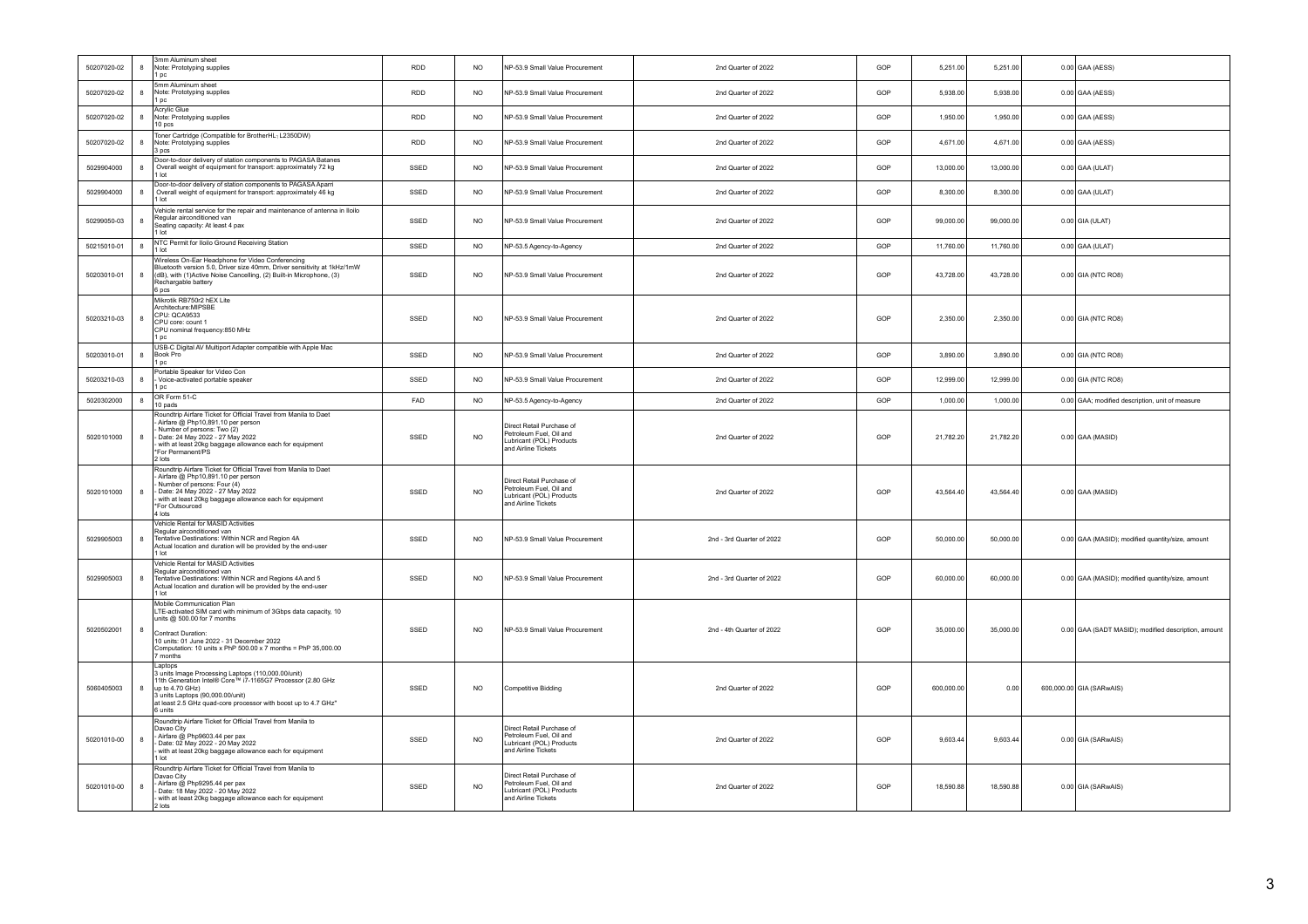| 50207020-02 | 8                | 3mm Aluminum sheet<br>Note: Prototyping supplies<br>1 pc                                                                                                                                                                                                                   | <b>RDD</b> | <b>NO</b>       | NP-53.9 Small Value Procurement                                                                         | 2nd Quarter of 2022       | GOP | 5,251.00   | 5,251.00  | $0.00$ GAA (AESS)                                   |
|-------------|------------------|----------------------------------------------------------------------------------------------------------------------------------------------------------------------------------------------------------------------------------------------------------------------------|------------|-----------------|---------------------------------------------------------------------------------------------------------|---------------------------|-----|------------|-----------|-----------------------------------------------------|
| 50207020-02 | 8                | 5mm Aluminum sheet<br>Note: Prototyping supplies<br>1 pc                                                                                                                                                                                                                   | <b>RDD</b> | <b>NO</b>       | NP-53.9 Small Value Procurement                                                                         | 2nd Quarter of 2022       | GOP | 5,938.00   | 5,938.00  | $0.00$ GAA (AESS)                                   |
| 50207020-02 | $\boldsymbol{8}$ | Acrylic Glue<br>Note: Prototyping supplies<br>10 pcs                                                                                                                                                                                                                       | <b>RDD</b> | <b>NO</b>       | NP-53.9 Small Value Procurement                                                                         | 2nd Quarter of 2022       | GOP | 1,950.00   | 1,950.00  | $0.00$ GAA (AESS)                                   |
| 50207020-02 | $\boldsymbol{8}$ | Toner Cartridge (Compatible for BrotherHL1L2350DW)<br>Note: Prototyping supplies<br>3 pcs                                                                                                                                                                                  | <b>RDD</b> | <b>NO</b>       | NP-53.9 Small Value Procurement                                                                         | 2nd Quarter of 2022       | GOP | 4,671.00   | 4,671.00  | $0.00$ GAA (AESS)                                   |
| 5029904000  | $\boldsymbol{8}$ | Door-to-door delivery of station components to PAGASA Batanes<br>Overall weight of equipment for transport: approximately 72 kg<br>$1$ Int                                                                                                                                 | SSED       | <b>NO</b>       | NP-53.9 Small Value Procurement                                                                         | 2nd Quarter of 2022       | GOP | 13,000.00  | 13,000.00 | $0.00$ GAA (ULAT)                                   |
| 5029904000  | $\bf{8}$         | Door-to-door delivery of station components to PAGASA Aparri<br>Overall weight of equipment for transport: approximately 46 kg<br>1 lot                                                                                                                                    | SSED       | <b>NO</b>       | NP-53.9 Small Value Procurement                                                                         | 2nd Quarter of 2022       | GOP | 8,300.00   | 8,300.00  | $0.00$ GAA (ULAT)                                   |
| 50299050-03 | $\boldsymbol{8}$ | Vehicle rental service for the repair and maintenance of antenna in Iloilo<br>Regular airconditioned van<br>Seating capacity: At least 4 pax<br>1 lot                                                                                                                      | SSED       | <b>NO</b>       | NP-53.9 Small Value Procurement                                                                         | 2nd Quarter of 2022       | GOP | 99,000.00  | 99,000.00 | $0.00$ GIA (ULAT)                                   |
| 50215010-01 | $\bf{8}$         | NTC Permit for Iloilo Ground Receiving Station<br>1 lot                                                                                                                                                                                                                    | SSED       | <b>NO</b>       | NP-53.5 Agency-to-Agency                                                                                | 2nd Quarter of 2022       | GOP | 11,760.00  | 11,760.00 | $0.00$ GAA (ULAT)                                   |
| 50203010-01 | $\boldsymbol{8}$ | Wireless On-Ear Headphone for Video Conferencing<br>Bluetooth version 5.0, Driver size 40mm, Driver sensitivity at 1kHz/1mW<br>(dB), with (1)Active Noise Cancelling, (2) Built-in Microphone, (3)<br>Rechargable battery<br>6 pcs                                         | SSED       | N <sub>O</sub>  | NP-53.9 Small Value Procurement                                                                         | 2nd Quarter of 2022       | GOP | 43,728.00  | 43,728.00 | 0.00 GIA (NTC RO8)                                  |
| 50203210-03 | 8                | Mikrotik RB750r2 hEX Lite<br>Architecture:MIPSBF<br>CPU: OCA9533<br>CPU core: count 1<br>CPU nominal frequency:850 MHz<br>1 pc                                                                                                                                             | SSED       | N <sub>O</sub>  | NP-53.9 Small Value Procurement                                                                         | 2nd Quarter of 2022       | GOP | 2.350.00   | 2.350.00  | 0.00 GIA (NTC RO8)                                  |
| 50203010-01 | $\boldsymbol{8}$ | USB-C Digital AV Multiport Adapter compatible with Apple Mac<br>Book Pro<br>1 pc                                                                                                                                                                                           | SSED       | <b>NO</b>       | NP-53.9 Small Value Procurement                                                                         | 2nd Quarter of 2022       | GOP | 3,890.00   | 3,890.00  | 0.00 GIA (NTC RO8)                                  |
| 50203210-03 | 8                | Portable Speaker for Video Con<br>Voice-activated portable speaker<br>1 pc                                                                                                                                                                                                 | SSED       | <b>NO</b>       | NP-53.9 Small Value Procurement                                                                         | 2nd Quarter of 2022       | GOP | 12,999.00  | 12,999.00 | 0.00 GIA (NTC RO8)                                  |
| 5020302000  | $\bf{8}$         | OR Form 51-C<br>10 pads                                                                                                                                                                                                                                                    | FAD        | <b>NO</b>       | NP-53.5 Agency-to-Agency                                                                                | 2nd Quarter of 2022       | GOP | 1,000.00   | 1,000.00  | 0.00 GAA; modified description, unit of measure     |
| 5020101000  | $\boldsymbol{8}$ | Roundtrip Airfare Ticket for Official Travel from Manila to Daet<br>- Airfare @ Php10,891.10 per person<br>Number of persons: Two (2)<br>Date: 24 May 2022 - 27 May 2022<br>with at least 20kg baggage allowance each for equipment<br>*For Permanent/PS<br>2 lots         | SSED       | <b>NO</b>       | Direct Retail Purchase of<br>Petroleum Fuel, Oil and<br>Lubricant (POL) Products<br>and Airline Tickets | 2nd Quarter of 2022       | GOP | 21,782.20  | 21,782.20 | $0.00$ GAA (MASID)                                  |
| 5020101000  | 8                | Roundtrip Airfare Ticket for Official Travel from Manila to Daet<br>Airfare @ Php10,891.10 per person<br>Number of persons: Four (4)<br>Date: 24 May 2022 - 27 May 2022<br>with at least 20kg baggage allowance each for equipment<br>*For Outsourced<br>4 lots            | SSED       | <b>NO</b>       | Direct Retail Purchase of<br>Petroleum Fuel, Oil and<br>Lubricant (POL) Products<br>and Airline Tickets | 2nd Quarter of 2022       | GOP | 43,564.40  | 43,564.40 | 0.00 GAA (MASID)                                    |
| 5029905003  | 8                | Vehicle Rental for MASID Activities<br>Regular airconditioned van<br>Tentative Destinations: Within NCR and Region 4A<br>Actual location and duration will be provided by the end-user<br>$1$ Int                                                                          | SSED       | NO <sub>1</sub> | NP-53.9 Small Value Procurement                                                                         | 2nd - 3rd Quarter of 2022 | GOP | 50,000.00  | 50.000.00 | 0.00 GAA (MASID); modified quantity/size, amount    |
| 5029905003  | 8                | Vehicle Rental for MASID Activities<br>Regular airconditioned van<br>Tentative Destinations: Within NCR and Regions 4A and 5<br>Actual location and duration will be provided by the end-user<br>1 lot                                                                     | SSED       | <b>NO</b>       | NP-53.9 Small Value Procurement                                                                         | 2nd - 3rd Quarter of 2022 | GOP | 60,000.00  | 60,000.00 | 0.00 GAA (MASID); modified quantity/size, amount    |
| 5020502001  | 8                | Mobile Communication Plan<br>LTE-activated SIM card with minimum of 3Gbps data capacity, 10<br>units @ 500.00 for 7 months<br>Contract Duration:<br>10 units: 01 June 2022 - 31 December 2022<br>Computation: 10 units x PhP 500.00 x 7 months = PhP 35,000.00<br>7 months | SSED       | <b>NO</b>       | NP-53.9 Small Value Procurement                                                                         | 2nd - 4th Quarter of 2022 | GOP | 35,000.00  | 35,000.00 | 0.00 GAA (SADT MASID); modified description, amount |
| 5060405003  | 8                | Laptops<br>3 units Image Processing Laptops (110,000.00/unit)<br>11th Generation Intel® Core™ i7-1165G7 Processor (2.80 GHz<br>up to 4.70 GHz)<br>3 units Laptops (90,000.00/unit)<br>at least 2.5 GHz quad-core processor with boost up to 4.7 GHz"<br>6 units            | SSED       | N <sub>O</sub>  | Competitive Bidding                                                                                     | 2nd Quarter of 2022       | GOP | 600,000.00 | 0.00      | 600,000.00 GIA (SARwAIS)                            |
| 50201010-00 | 8                | Roundtrip Airfare Ticket for Official Travel from Manila to<br>Davao City<br>- Airfare @ Php9603.44 per pax<br>Date: 02 May 2022 - 20 May 2022<br>with at least 20kg baggage allowance each for equipment<br>1 lot                                                         | SSED       | <b>NO</b>       | Direct Retail Purchase of<br>Petroleum Fuel, Oil and<br>Lubricant (POL) Products<br>and Airline Tickets | 2nd Quarter of 2022       | GOP | 9,603.44   | 9,603.44  | 0.00 GIA (SARwAIS)                                  |
| 50201010-00 | 8                | Roundtrip Airfare Ticket for Official Travel from Manila to<br>Davao City<br>Airfare @ Php9295.44 per pax<br>Date: 18 May 2022 - 20 May 2022<br>with at least 20kg baggage allowance each for equipment<br>2 lots                                                          | SSED       | N <sub>O</sub>  | Direct Retail Purchase of<br>Petroleum Fuel, Oil and<br>Lubricant (POL) Products<br>and Airline Tickets | 2nd Quarter of 2022       | GOP | 18,590.88  | 18,590.88 | 0.00 GIA (SARwAIS)                                  |